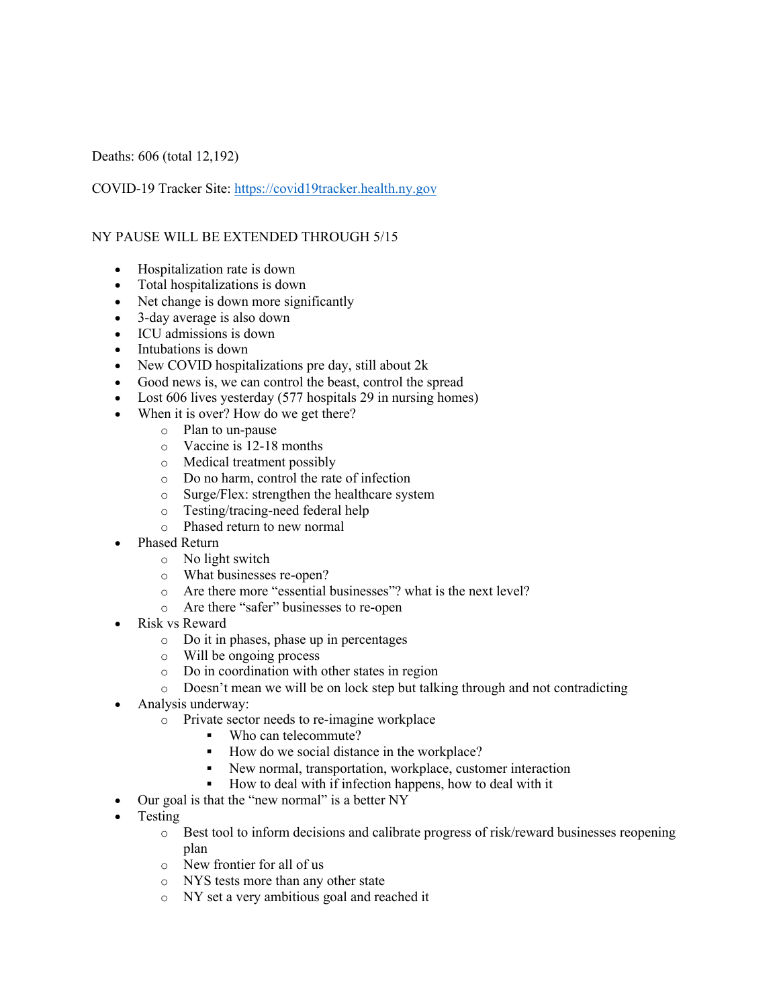Deaths: 606 (total 12,192)

COVID-19 Tracker Site: https://covid19tracker.health.ny.gov

## NY PAUSE WILL BE EXTENDED THROUGH 5/15

- Hospitalization rate is down
- Total hospitalizations is down
- Net change is down more significantly
- 3-day average is also down
- ICU admissions is down
- Intubations is down
- New COVID hospitalizations pre day, still about 2k
- Good news is, we can control the beast, control the spread
- Lost 606 lives yesterday (577 hospitals 29 in nursing homes)
- When it is over? How do we get there?
	- o Plan to un-pause
	- o Vaccine is 12-18 months
	- o Medical treatment possibly
	- o Do no harm, control the rate of infection
	- o Surge/Flex: strengthen the healthcare system
	- o Testing/tracing-need federal help
	- o Phased return to new normal
- Phased Return
	- o No light switch
	- o What businesses re-open?
	- o Are there more "essential businesses"? what is the next level?
	- o Are there "safer" businesses to re-open
- Risk vs Reward
	- o Do it in phases, phase up in percentages
	- o Will be ongoing process
	- o Do in coordination with other states in region
	- o Doesn't mean we will be on lock step but talking through and not contradicting
- Analysis underway:
	- o Private sector needs to re-imagine workplace
		- § Who can telecommute?
		- How do we social distance in the workplace?
		- New normal, transportation, workplace, customer interaction
		- § How to deal with if infection happens, how to deal with it
- Our goal is that the "new normal" is a better NY
- Testing
	- o Best tool to inform decisions and calibrate progress of risk/reward businesses reopening plan
	- o New frontier for all of us
	- o NYS tests more than any other state
	- o NY set a very ambitious goal and reached it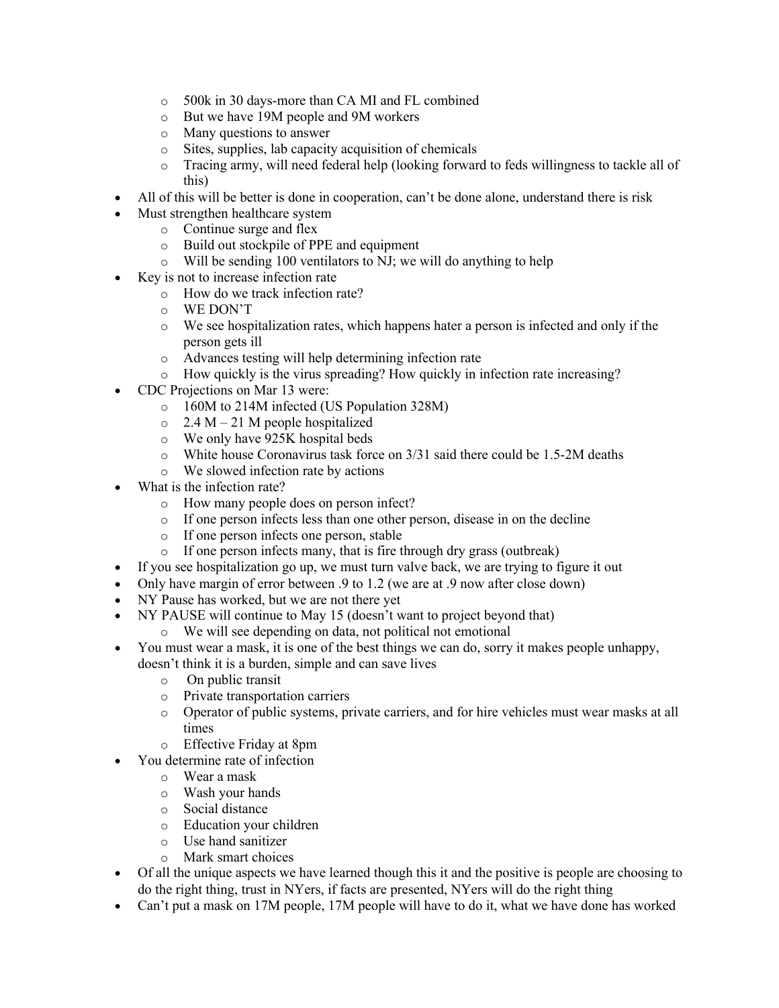- o 500k in 30 days-more than CA MI and FL combined
- o But we have 19M people and 9M workers
- o Many questions to answer
- o Sites, supplies, lab capacity acquisition of chemicals
- o Tracing army, will need federal help (looking forward to feds willingness to tackle all of this)
- All of this will be better is done in cooperation, can't be done alone, understand there is risk
- Must strengthen healthcare system
	- o Continue surge and flex
	- o Build out stockpile of PPE and equipment
	- $\circ$  Will be sending 100 ventilators to NJ; we will do anything to help
- Key is not to increase infection rate
	- o How do we track infection rate?
	- o WE DON'T
	- $\circ$  We see hospitalization rates, which happens hater a person is infected and only if the person gets ill
	- o Advances testing will help determining infection rate
	- o How quickly is the virus spreading? How quickly in infection rate increasing?
- CDC Projections on Mar 13 were:
	- o 160M to 214M infected (US Population 328M)
	- $\circ$  2.4 M 21 M people hospitalized
	- o We only have 925K hospital beds
	- o White house Coronavirus task force on 3/31 said there could be 1.5-2M deaths
	- o We slowed infection rate by actions
- What is the infection rate?
	- o How many people does on person infect?
	- o If one person infects less than one other person, disease in on the decline
	- o If one person infects one person, stable
	- o If one person infects many, that is fire through dry grass (outbreak)
- If you see hospitalization go up, we must turn valve back, we are trying to figure it out
- Only have margin of error between .9 to 1.2 (we are at .9 now after close down)
- NY Pause has worked, but we are not there yet
- NY PAUSE will continue to May 15 (doesn't want to project beyond that)
	- o We will see depending on data, not political not emotional
- You must wear a mask, it is one of the best things we can do, sorry it makes people unhappy, doesn't think it is a burden, simple and can save lives
	- o On public transit
	- o Private transportation carriers
	- o Operator of public systems, private carriers, and for hire vehicles must wear masks at all times
	- o Effective Friday at 8pm
- You determine rate of infection
	- o Wear a mask
	- o Wash your hands
	- o Social distance
	- o Education your children
	- o Use hand sanitizer
	- o Mark smart choices
- Of all the unique aspects we have learned though this it and the positive is people are choosing to do the right thing, trust in NYers, if facts are presented, NYers will do the right thing
- Can't put a mask on 17M people, 17M people will have to do it, what we have done has worked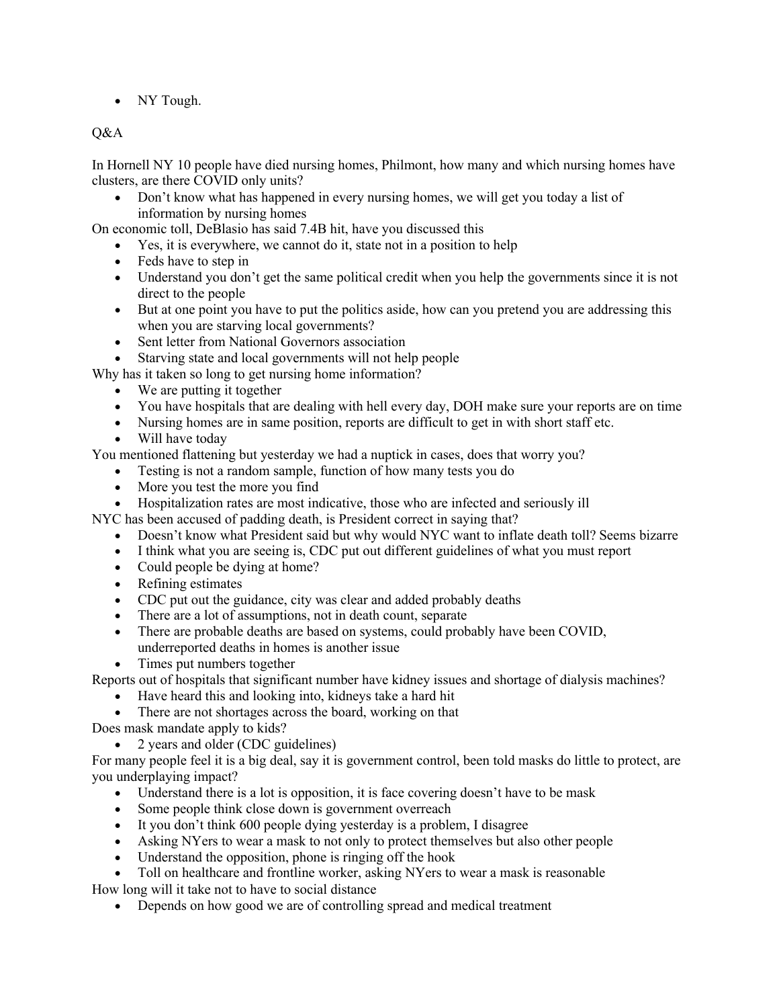• NY Tough.

## Q&A

In Hornell NY 10 people have died nursing homes, Philmont, how many and which nursing homes have clusters, are there COVID only units?

• Don't know what has happened in every nursing homes, we will get you today a list of information by nursing homes

On economic toll, DeBlasio has said 7.4B hit, have you discussed this

- Yes, it is everywhere, we cannot do it, state not in a position to help
- Feds have to step in
- Understand you don't get the same political credit when you help the governments since it is not direct to the people
- But at one point you have to put the politics aside, how can you pretend you are addressing this when you are starving local governments?
- Sent letter from National Governors association
- Starving state and local governments will not help people

Why has it taken so long to get nursing home information?

- We are putting it together
- You have hospitals that are dealing with hell every day, DOH make sure your reports are on time
- Nursing homes are in same position, reports are difficult to get in with short staff etc.
- Will have today

You mentioned flattening but yesterday we had a nuptick in cases, does that worry you?

- Testing is not a random sample, function of how many tests you do
- More you test the more you find
- Hospitalization rates are most indicative, those who are infected and seriously ill
- NYC has been accused of padding death, is President correct in saying that?
	- Doesn't know what President said but why would NYC want to inflate death toll? Seems bizarre
	- I think what you are seeing is, CDC put out different guidelines of what you must report
	- Could people be dying at home?
	- Refining estimates
	- CDC put out the guidance, city was clear and added probably deaths
	- There are a lot of assumptions, not in death count, separate
	- There are probable deaths are based on systems, could probably have been COVID, underreported deaths in homes is another issue
	- Times put numbers together

Reports out of hospitals that significant number have kidney issues and shortage of dialysis machines?

- Have heard this and looking into, kidneys take a hard hit
- There are not shortages across the board, working on that

Does mask mandate apply to kids?

• 2 years and older (CDC guidelines)

For many people feel it is a big deal, say it is government control, been told masks do little to protect, are you underplaying impact?

- Understand there is a lot is opposition, it is face covering doesn't have to be mask
- Some people think close down is government overreach
- It you don't think 600 people dying yesterday is a problem, I disagree
- Asking NYers to wear a mask to not only to protect themselves but also other people
- Understand the opposition, phone is ringing off the hook
- Toll on healthcare and frontline worker, asking NYers to wear a mask is reasonable How long will it take not to have to social distance
	- Depends on how good we are of controlling spread and medical treatment